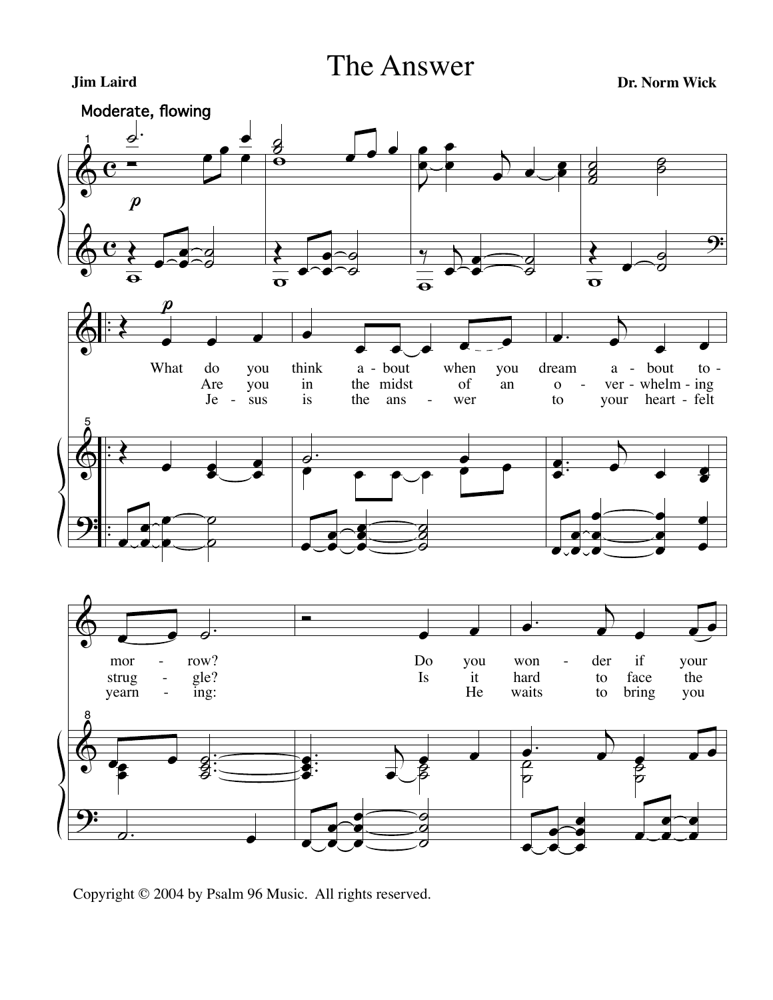The Answer

**Jim Laird Dr. Norm Wick**



Copyright © 2004 by Psalm 96 Music. All rights reserved.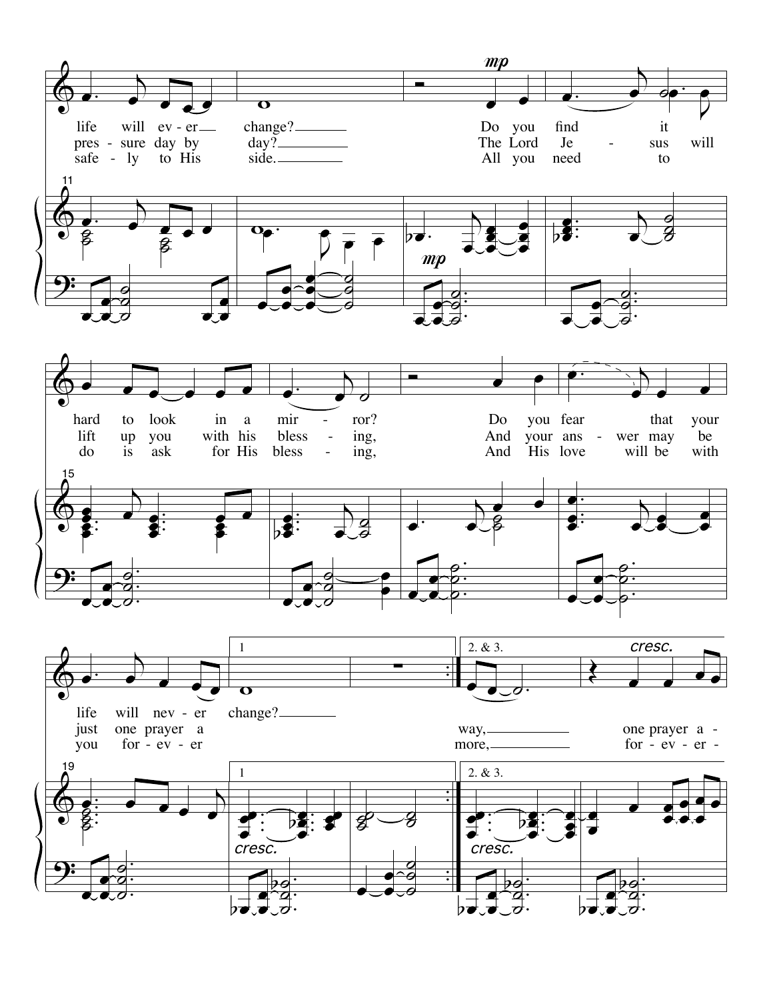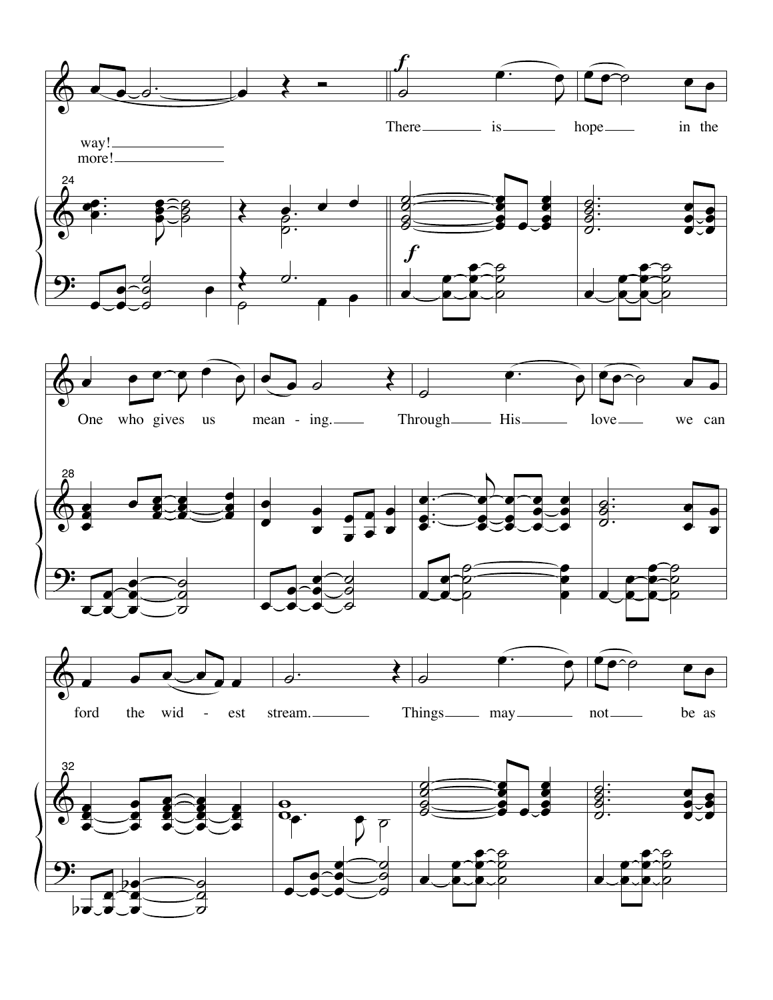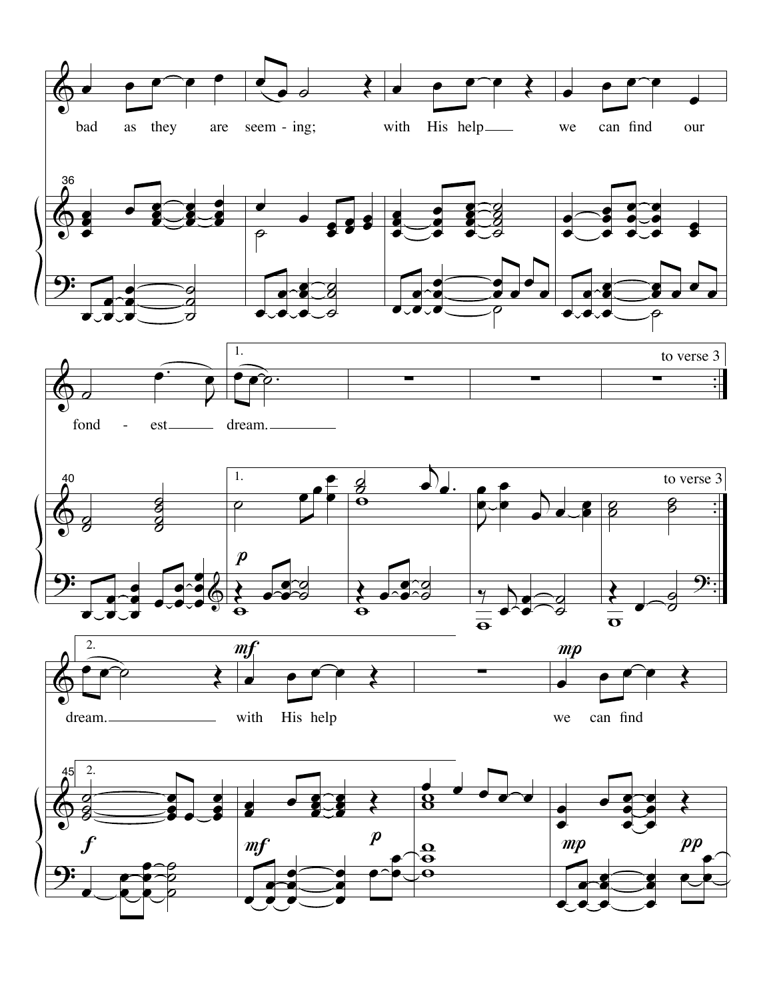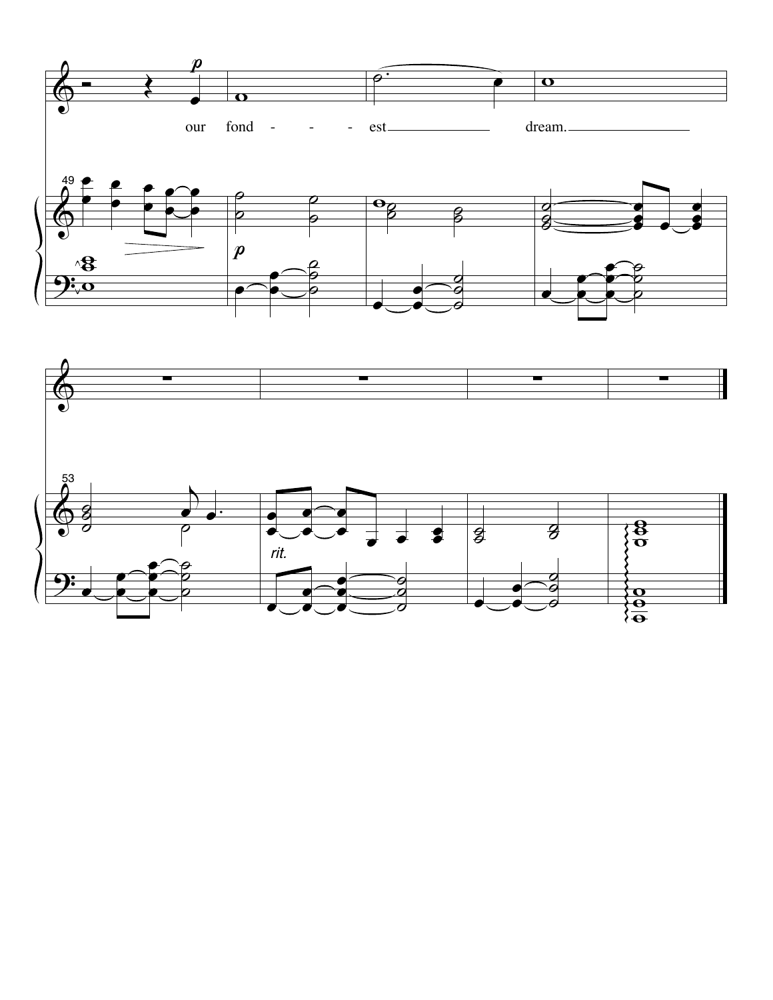